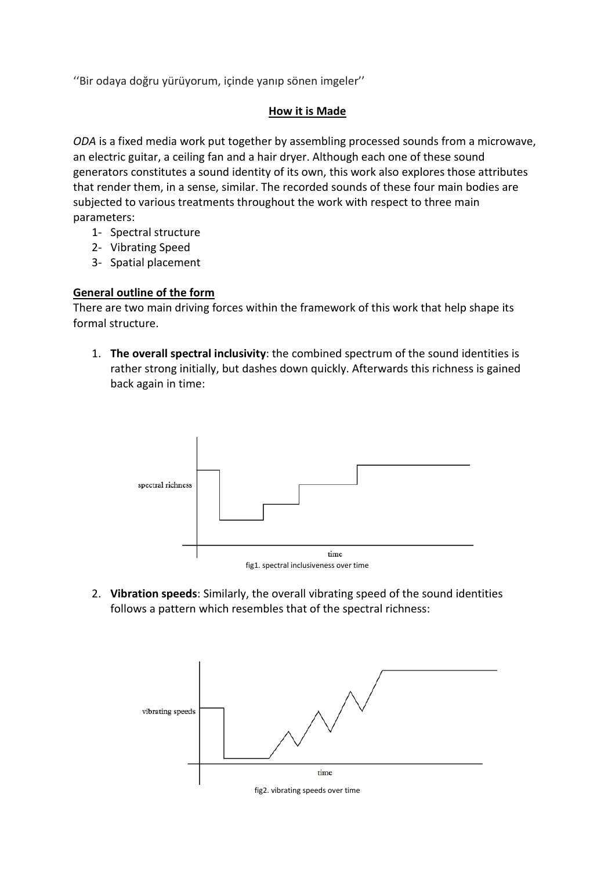''Bir odaya doğru yürüyorum, içinde yanıp sönen imgeler''

### **How it is Made**

*ODA* is a fixed media work put together by assembling processed sounds from a microwave, an electric guitar, a ceiling fan and a hair dryer. Although each one of these sound generators constitutes a sound identity of its own, this work also explores those attributes that render them, in a sense, similar. The recorded sounds of these four main bodies are subjected to various treatments throughout the work with respect to three main parameters:

- 1- Spectral structure
- 2- Vibrating Speed
- 3- Spatial placement

# **General outline of the form**

There are two main driving forces within the framework of this work that help shape its formal structure.

1. **The overall spectral inclusivity**: the combined spectrum of the sound identities is rather strong initially, but dashes down quickly. Afterwards this richness is gained back again in time:



2. **Vibration speeds**: Similarly, the overall vibrating speed of the sound identities follows a pattern which resembles that of the spectral richness:



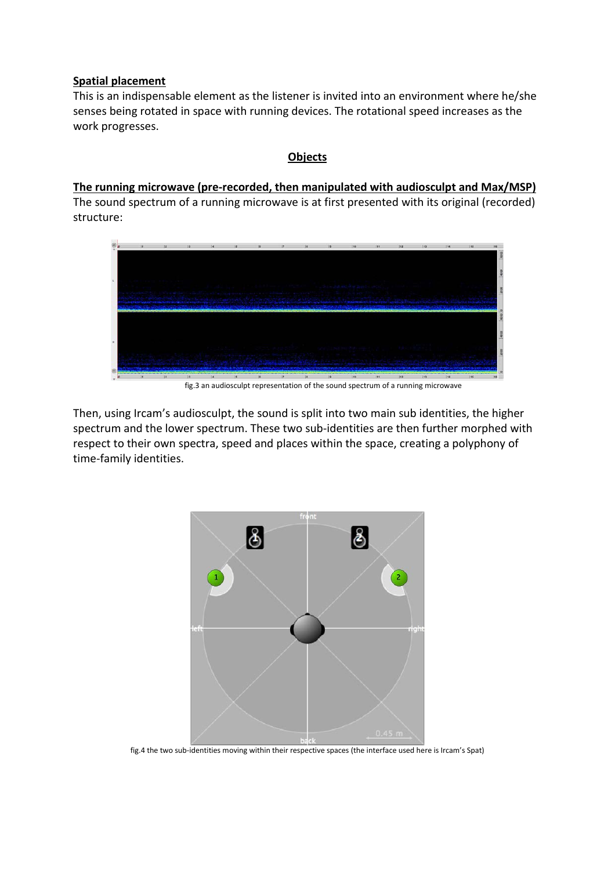### **Spatial placement**

This is an indispensable element as the listener is invited into an environment where he/she senses being rotated in space with running devices. The rotational speed increases as the work progresses.

## **Objects**

# **The running microwave (pre-recorded, then manipulated with audiosculpt and Max/MSP)**

The sound spectrum of a running microwave is at first presented with its original (recorded) structure:



fig.3 an audiosculpt representation of the sound spectrum of a running microwave

Then, using Ircam's audiosculpt, the sound is split into two main sub identities, the higher spectrum and the lower spectrum. These two sub-identities are then further morphed with respect to their own spectra, speed and places within the space, creating a polyphony of time-family identities.



fig.4 the two sub-identities moving within their respective spaces (the interface used here is Ircam's Spat)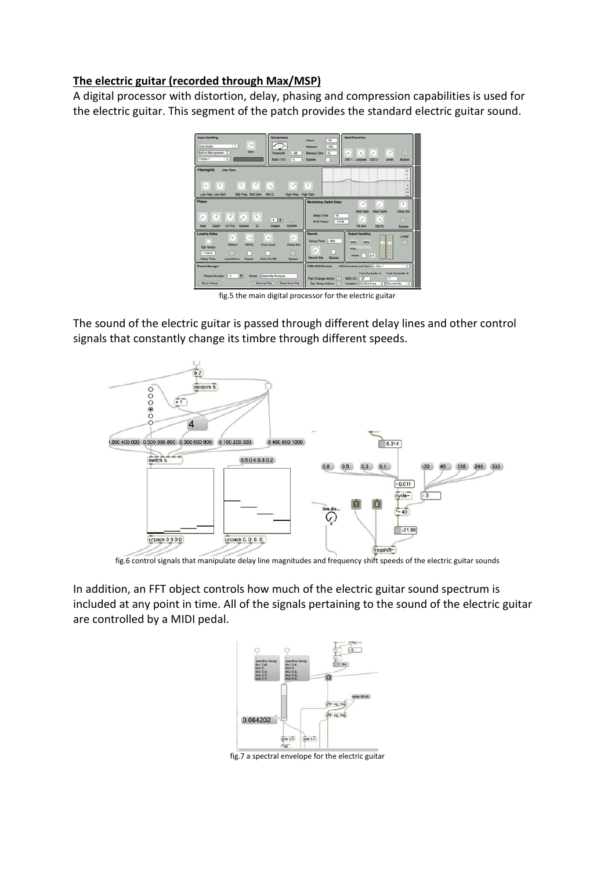## **The electric guitar (recorded through Max/MSP)**

A digital processor with distortion, delay, phasing and compression capabilities is used for the electric guitar. This segment of the patch provides the standard electric guitar sound.



fig.5 the main digital processor for the electric guitar

The sound of the electric guitar is passed through different delay lines and other control signals that constantly change its timbre through different speeds.



fig.6 control signals that manipulate delay line magnitudes and frequency shift speeds of the electric guitar sounds

In addition, an FFT object controls how much of the electric guitar sound spectrum is included at any point in time. All of the signals pertaining to the sound of the electric guitar are controlled by a MIDI pedal.



fig.7 a spectral envelope for the electric guitar